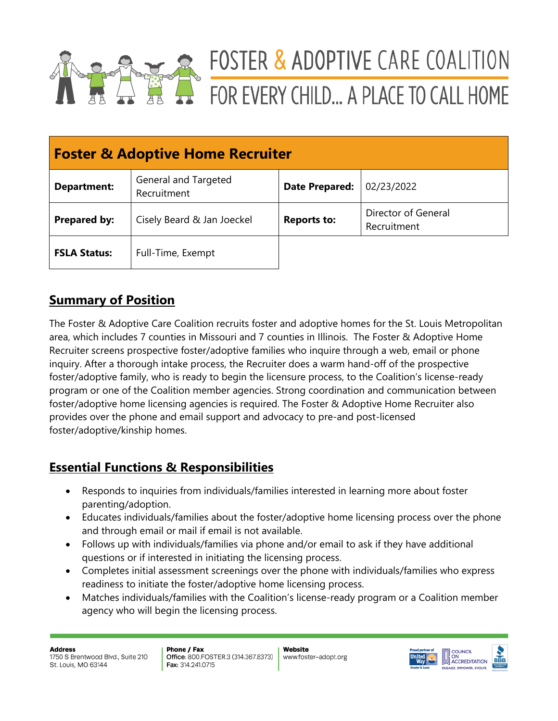

# FOSTER & ADOPTIVE CARE COALITION FOR EVERY CHILD... A PLACE TO CALL HOME

| <b>Foster &amp; Adoptive Home Recruiter</b> |                                     |                       |                                    |  |  |
|---------------------------------------------|-------------------------------------|-----------------------|------------------------------------|--|--|
| <b>Department:</b>                          | General and Targeted<br>Recruitment | <b>Date Prepared:</b> | 02/23/2022                         |  |  |
| Prepared by:                                | Cisely Beard & Jan Joeckel          | <b>Reports to:</b>    | Director of General<br>Recruitment |  |  |
| <b>FSLA Status:</b>                         | Full-Time, Exempt                   |                       |                                    |  |  |

## **Summary of Position**

The Foster & Adoptive Care Coalition recruits foster and adoptive homes for the St. Louis Metropolitan area, which includes 7 counties in Missouri and 7 counties in Illinois. The Foster & Adoptive Home Recruiter screens prospective foster/adoptive families who inquire through a web, email or phone inquiry. After a thorough intake process, the Recruiter does a warm hand-off of the prospective foster/adoptive family, who is ready to begin the licensure process, to the Coalition's license-ready program or one of the Coalition member agencies. Strong coordination and communication between foster/adoptive home licensing agencies is required. The Foster & Adoptive Home Recruiter also provides over the phone and email support and advocacy to pre-and post-licensed foster/adoptive/kinship homes.

## **Essential Functions & Responsibilities**

- Responds to inquiries from individuals/families interested in learning more about foster parenting/adoption.
- Educates individuals/families about the foster/adoptive home licensing process over the phone and through email or mail if email is not available.
- Follows up with individuals/families via phone and/or email to ask if they have additional questions or if interested in initiating the licensing process.
- Completes initial assessment screenings over the phone with individuals/families who express readiness to initiate the foster/adoptive home licensing process.
- Matches individuals/families with the Coalition's license-ready program or a Coalition member agency who will begin the licensing process.

**Address** 1750 S Brentwood Blvd., Suite 210 St. Louis, MO 63144

Phone / Fax Office: 800.FOSTER.3 (314.367.8373) Fax: 314.241.0715

Website www.foster-adopt.org

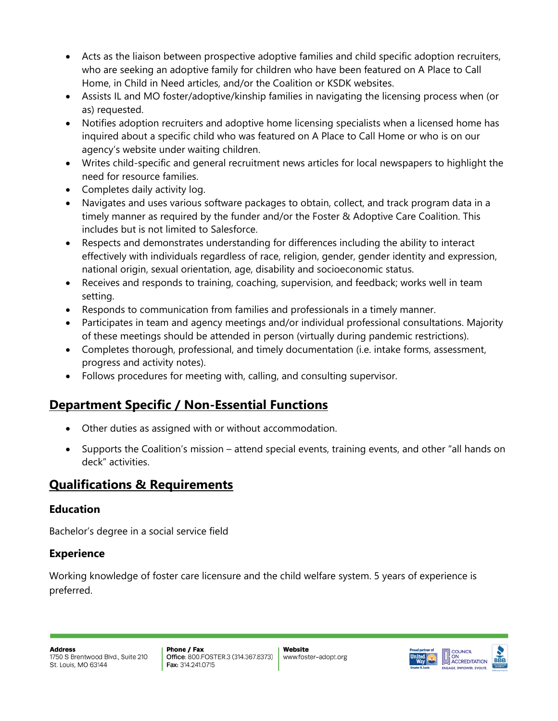- Acts as the liaison between prospective adoptive families and child specific adoption recruiters, who are seeking an adoptive family for children who have been featured on A Place to Call Home, in Child in Need articles, and/or the Coalition or KSDK websites.
- Assists IL and MO foster/adoptive/kinship families in navigating the licensing process when (or as) requested.
- Notifies adoption recruiters and adoptive home licensing specialists when a licensed home has inquired about a specific child who was featured on A Place to Call Home or who is on our agency's website under waiting children.
- Writes child-specific and general recruitment news articles for local newspapers to highlight the need for resource families.
- Completes daily activity log.
- Navigates and uses various software packages to obtain, collect, and track program data in a timely manner as required by the funder and/or the Foster & Adoptive Care Coalition. This includes but is not limited to Salesforce.
- Respects and demonstrates understanding for differences including the ability to interact effectively with individuals regardless of race, religion, gender, gender identity and expression, national origin, sexual orientation, age, disability and socioeconomic status.
- Receives and responds to training, coaching, supervision, and feedback; works well in team setting.
- Responds to communication from families and professionals in a timely manner.
- Participates in team and agency meetings and/or individual professional consultations. Majority of these meetings should be attended in person (virtually during pandemic restrictions).
- Completes thorough, professional, and timely documentation (i.e. intake forms, assessment, progress and activity notes).
- Follows procedures for meeting with, calling, and consulting supervisor.

# **Department Specific / Non-Essential Functions**

- Other duties as assigned with or without accommodation.
- Supports the Coalition's mission attend special events, training events, and other "all hands on deck" activities.

## **Qualifications & Requirements**

#### **Education**

Bachelor's degree in a social service field

## **Experience**

Working knowledge of foster care licensure and the child welfare system. 5 years of experience is preferred.

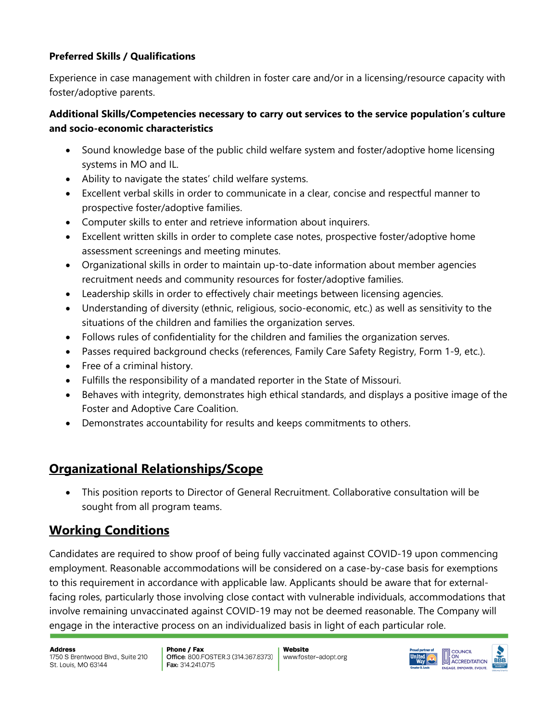#### **Preferred Skills / Qualifications**

Experience in case management with children in foster care and/or in a licensing/resource capacity with foster/adoptive parents.

#### **Additional Skills/Competencies necessary to carry out services to the service population's culture and socio-economic characteristics**

- Sound knowledge base of the public child welfare system and foster/adoptive home licensing systems in MO and IL.
- Ability to navigate the states' child welfare systems.
- Excellent verbal skills in order to communicate in a clear, concise and respectful manner to prospective foster/adoptive families.
- Computer skills to enter and retrieve information about inquirers.
- Excellent written skills in order to complete case notes, prospective foster/adoptive home assessment screenings and meeting minutes.
- Organizational skills in order to maintain up-to-date information about member agencies recruitment needs and community resources for foster/adoptive families.
- Leadership skills in order to effectively chair meetings between licensing agencies.
- Understanding of diversity (ethnic, religious, socio-economic, etc.) as well as sensitivity to the situations of the children and families the organization serves.
- Follows rules of confidentiality for the children and families the organization serves.
- Passes required background checks (references, Family Care Safety Registry, Form 1-9, etc.).
- Free of a criminal history.
- Fulfills the responsibility of a mandated reporter in the State of Missouri.
- Behaves with integrity, demonstrates high ethical standards, and displays a positive image of the Foster and Adoptive Care Coalition.
- Demonstrates accountability for results and keeps commitments to others.

## **Organizational Relationships/Scope**

• This position reports to Director of General Recruitment. Collaborative consultation will be sought from all program teams.

## **Working Conditions**

Candidates are required to show proof of being fully vaccinated against COVID-19 upon commencing employment. Reasonable accommodations will be considered on a case-by-case basis for exemptions to this requirement in accordance with applicable law. Applicants should be aware that for externalfacing roles, particularly those involving close contact with vulnerable individuals, accommodations that involve remaining unvaccinated against COVID-19 may not be deemed reasonable. The Company will engage in the interactive process on an individualized basis in light of each particular role.

**Address** 1750 S Brentwood Blvd., Suite 210 St. Louis, MO 63144

Phone / Fax Office: 800.FOSTER.3 (314.367.8373) Fax: 314.241.0715

Website www.foster-adopt.org

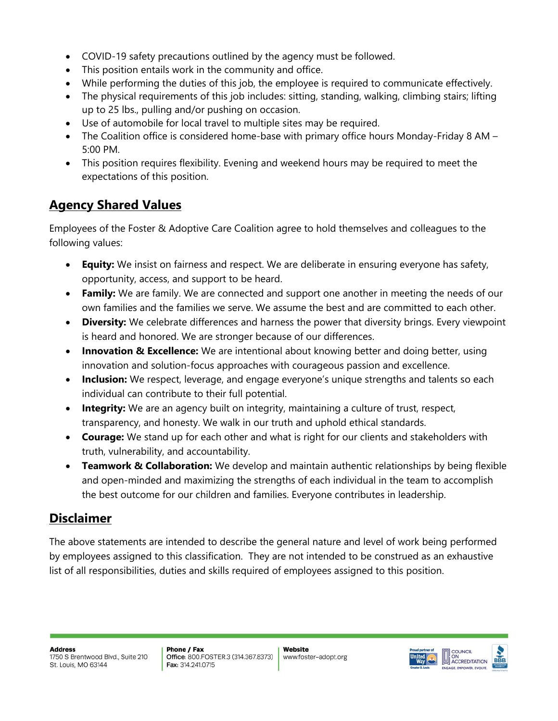- COVID-19 safety precautions outlined by the agency must be followed.
- This position entails work in the community and office.
- While performing the duties of this job, the employee is required to communicate effectively.
- The physical requirements of this job includes: sitting, standing, walking, climbing stairs; lifting up to 25 lbs., pulling and/or pushing on occasion.
- Use of automobile for local travel to multiple sites may be required.
- The Coalition office is considered home-base with primary office hours Monday-Friday 8 AM 5:00 PM.
- This position requires flexibility. Evening and weekend hours may be required to meet the expectations of this position.

## **Agency Shared Values**

Employees of the Foster & Adoptive Care Coalition agree to hold themselves and colleagues to the following values:

- **Equity:** We insist on fairness and respect. We are deliberate in ensuring everyone has safety, opportunity, access, and support to be heard.
- **Family:** We are family. We are connected and support one another in meeting the needs of our own families and the families we serve. We assume the best and are committed to each other.
- **Diversity:** We celebrate differences and harness the power that diversity brings. Every viewpoint is heard and honored. We are stronger because of our differences.
- **Innovation & Excellence:** We are intentional about knowing better and doing better, using innovation and solution-focus approaches with courageous passion and excellence.
- **Inclusion:** We respect, leverage, and engage everyone's unique strengths and talents so each individual can contribute to their full potential.
- **Integrity:** We are an agency built on integrity, maintaining a culture of trust, respect, transparency, and honesty. We walk in our truth and uphold ethical standards.
- **Courage:** We stand up for each other and what is right for our clients and stakeholders with truth, vulnerability, and accountability.
- **Teamwork & Collaboration:** We develop and maintain authentic relationships by being flexible and open-minded and maximizing the strengths of each individual in the team to accomplish the best outcome for our children and families. Everyone contributes in leadership.

## **Disclaimer**

The above statements are intended to describe the general nature and level of work being performed by employees assigned to this classification. They are not intended to be construed as an exhaustive list of all responsibilities, duties and skills required of employees assigned to this position.